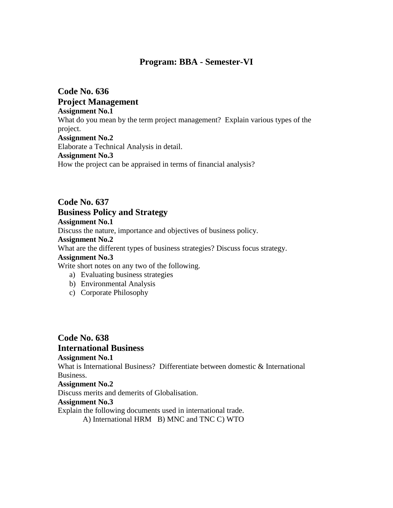# **Program: BBA - Semester-VI**

**Code No. 636 Project Management Assignment No.1** What do you mean by the term project management? Explain various types of the project. **Assignment No.2** Elaborate a Technical Analysis in detail. **Assignment No.3** How the project can be appraised in terms of financial analysis?

# **Code No. 637 Business Policy and Strategy**

**Assignment No.1**

Discuss the nature, importance and objectives of business policy.

#### **Assignment No.2**

What are the different types of business strategies? Discuss focus strategy.

#### **Assignment No.3**

Write short notes on any two of the following.

- a) Evaluating business strategies
- b) Environmental Analysis
- c) Corporate Philosophy

# **Code No. 638 International Business Assignment No.1** What is International Business? Differentiate between domestic & International Business. **Assignment No.2** Discuss merits and demerits of Globalisation. **Assignment No.3**

Explain the following documents used in international trade. A) International HRM B) MNC and TNC C) WTO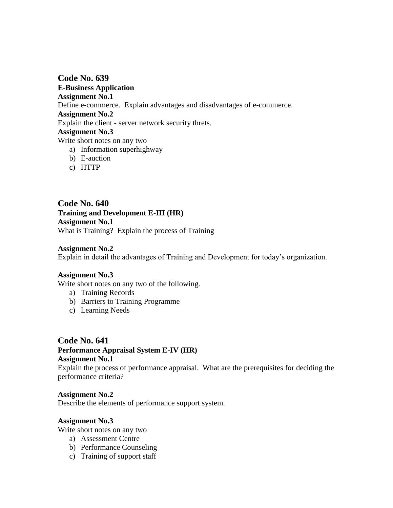**Code No. 639 E-Business Application Assignment No.1** Define e-commerce. Explain advantages and disadvantages of e-commerce. **Assignment No.2** Explain the client - server network security threts. **Assignment No.3** Write short notes on any two a) Information superhighway

- b) E-auction
- c) HTTP

**Code No. 640 Training and Development E-III (HR) Assignment No.1** What is Training? Explain the process of Training

### **Assignment No.2**

Explain in detail the advantages of Training and Development for today"s organization.

#### **Assignment No.3**

Write short notes on any two of the following.

- a) Training Records
- b) Barriers to Training Programme
- c) Learning Needs

#### **Code No. 641**

# **Performance Appraisal System E-IV (HR)**

# **Assignment No.1**

Explain the process of performance appraisal. What are the prerequisites for deciding the performance criteria?

#### **Assignment No.2**

Describe the elements of performance support system.

#### **Assignment No.3**

Write short notes on any two

- a) Assessment Centre
- b) Performance Counseling
- c) Training of support staff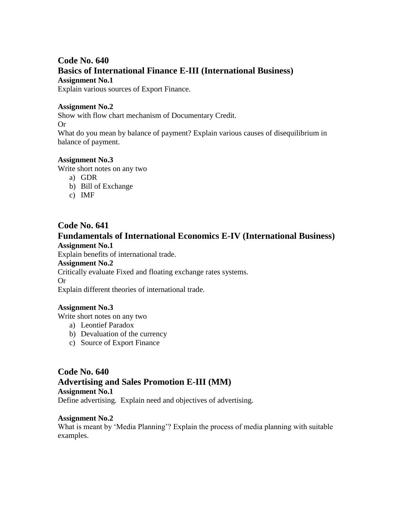# **Code No. 640 Basics of International Finance E-III (International Business) Assignment No.1**

Explain various sources of Export Finance.

# **Assignment No.2**

Show with flow chart mechanism of Documentary Credit. Or What do you mean by balance of payment? Explain various causes of disequilibrium in balance of payment.

# **Assignment No.3**

Write short notes on any two

- a) GDR
- b) Bill of Exchange
- c) IMF

# **Code No. 641**

# **Fundamentals of International Economics E-IV (International Business) Assignment No.1**

Explain benefits of international trade.

### **Assignment No.2**

Critically evaluate Fixed and floating exchange rates systems.

Or

Explain different theories of international trade.

# **Assignment No.3**

Write short notes on any two

- a) Leontief Paradox
- b) Devaluation of the currency
- c) Source of Export Finance

# **Code No. 640 Advertising and Sales Promotion E-III (MM)**

**Assignment No.1** Define advertising. Explain need and objectives of advertising.

# **Assignment No.2**

What is meant by 'Media Planning'? Explain the process of media planning with suitable examples.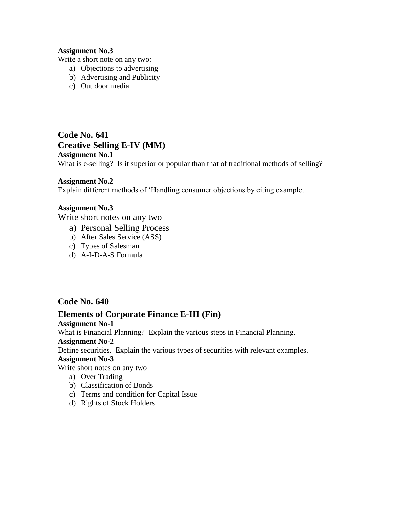# **Assignment No.3**

Write a short note on any two:

- a) Objections to advertising
- b) Advertising and Publicity
- c) Out door media

**Code No. 641 Creative Selling E-IV (MM) Assignment No.1** What is e-selling? Is it superior or popular than that of traditional methods of selling?

# **Assignment No.2**

Explain different methods of "Handling consumer objections by citing example.

#### **Assignment No.3**

Write short notes on any two

- a) Personal Selling Process
- b) After Sales Service (ASS)
- c) Types of Salesman
- d) A-I-D-A-S Formula

# **Code No. 640**

# **Elements of Corporate Finance E-III (Fin)**

### **Assignment No-1**

What is Financial Planning? Explain the various steps in Financial Planning.

### **Assignment No-2**

Define securities. Explain the various types of securities with relevant examples.

### **Assignment No-3**

Write short notes on any two

- a) Over Trading
- b) Classification of Bonds
- c) Terms and condition for Capital Issue
- d) Rights of Stock Holders